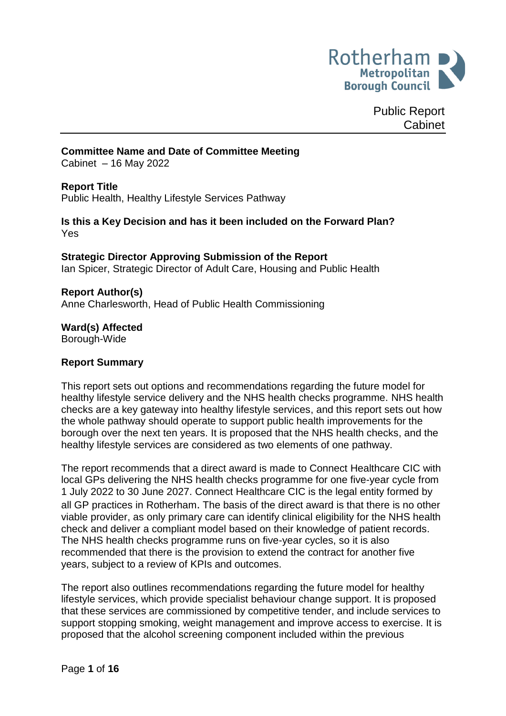

Public Report Cabinet

#### **Committee Name and Date of Committee Meeting**

Cabinet – 16 May 2022

#### **Report Title**

Public Health, Healthy Lifestyle Services Pathway

#### **Is this a Key Decision and has it been included on the Forward Plan?** Yes

# **Strategic Director Approving Submission of the Report**

Ian Spicer, Strategic Director of Adult Care, Housing and Public Health

#### **Report Author(s)**

<span id="page-0-0"></span>Anne Charlesworth, Head of Public Health Commissioning

#### **Ward(s) Affected** Borough-Wide

#### **Report Summary**

This report sets out options and recommendations regarding the future model for healthy lifestyle service delivery and the NHS health checks programme. NHS health checks are a key gateway into healthy lifestyle services, and this report sets out how the whole pathway should operate to support public health improvements for the borough over the next ten years. It is proposed that the NHS health checks, and the healthy lifestyle services are considered as two elements of one pathway.

The report recommends that a direct award is made to Connect Healthcare CIC with local GPs delivering the NHS health checks programme for one five-year cycle from 1 July 2022 to 30 June 2027. Connect Healthcare CIC is the legal entity formed by all GP practices in Rotherham. The basis of the direct award is that there is no other viable provider, as only primary care can identify clinical eligibility for the NHS health check and deliver a compliant model based on their knowledge of patient records. The NHS health checks programme runs on five-year cycles, so it is also recommended that there is the provision to extend the contract for another five years, subject to a review of KPIs and outcomes.

The report also outlines recommendations regarding the future model for healthy lifestyle services, which provide specialist behaviour change support. It is proposed that these services are commissioned by competitive tender, and include services to support stopping smoking, weight management and improve access to exercise. It is proposed that the alcohol screening component included within the previous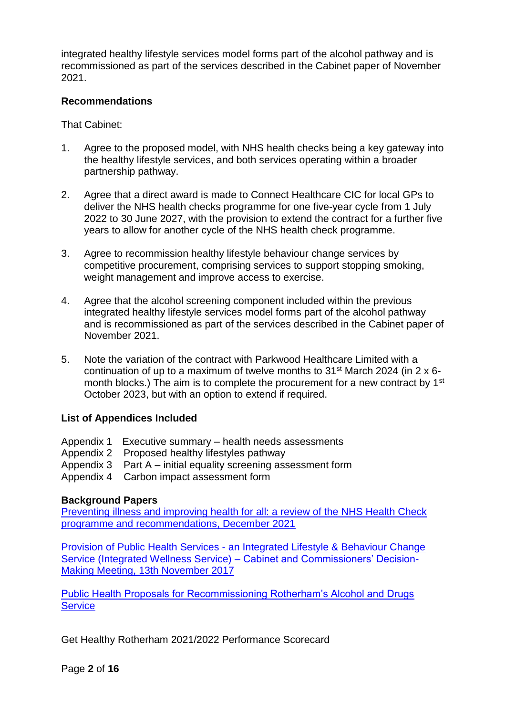integrated healthy lifestyle services model forms part of the alcohol pathway and is recommissioned as part of the services described in the Cabinet paper of November 2021.

#### **Recommendations**

That Cabinet:

- 1. Agree to the proposed model, with NHS health checks being a key gateway into the healthy lifestyle services, and both services operating within a broader partnership pathway.
- 2. Agree that a direct award is made to Connect Healthcare CIC for local GPs to deliver the NHS health checks programme for one five-year cycle from 1 July 2022 to 30 June 2027, with the provision to extend the contract for a further five years to allow for another cycle of the NHS health check programme.
- 3. Agree to recommission healthy lifestyle behaviour change services by competitive procurement, comprising services to support stopping smoking, weight management and improve access to exercise.
- 4. Agree that the alcohol screening component included within the previous integrated healthy lifestyle services model forms part of the alcohol pathway and is recommissioned as part of the services described in the Cabinet paper of November 2021.
- 5. Note the variation of the contract with Parkwood Healthcare Limited with a continuation of up to a maximum of twelve months to  $31<sup>st</sup>$  March 2024 (in 2 x 6month blocks.) The aim is to complete the procurement for a new contract by 1<sup>st</sup> October 2023, but with an option to extend if required.

#### **List of Appendices Included**

- Appendix 1 Executive summary health needs assessments Appendix 2 Proposed healthy lifestyles pathway Appendix 3 Part A – initial equality screening assessment form
- Appendix 4 Carbon impact assessment form

# **Background Papers**

[Preventing illness and improving health for all: a review of the NHS Health Check](https://www.gov.uk/government/publications/nhs-health-check-programme-review/preventing-illness-and-improving-health-for-all-a-review-of-the-nhs-health-check-programme-and-recommendations)  [programme and recommendations, December 2021](https://www.gov.uk/government/publications/nhs-health-check-programme-review/preventing-illness-and-improving-health-for-all-a-review-of-the-nhs-health-check-programme-and-recommendations)

Provision of Public Health Services - [an Integrated Lifestyle & Behaviour Change](https://moderngov.rotherham.gov.uk/documents/s112647/Provision%20of%20PHS%20-%20Integrated%20Wellness%20Service.pdf)  [Service \(Integrated Wellness Service\) –](https://moderngov.rotherham.gov.uk/documents/s112647/Provision%20of%20PHS%20-%20Integrated%20Wellness%20Service.pdf) Cabinet and Commissioners' Decision-[Making Meeting, 13th November 2017](https://moderngov.rotherham.gov.uk/documents/s112647/Provision%20of%20PHS%20-%20Integrated%20Wellness%20Service.pdf)

[Public Health Proposals for Recommissioning Rotherham's Alcohol and Drugs](https://moderngov.rotherham.gov.uk/documents/s133790/Report%20-%20Public%20Health%20Proposals%20for%20Recommissioning%20Rotherhams%20Alcohol%20and%20Drugs%20Service.pdf)  **[Service](https://moderngov.rotherham.gov.uk/documents/s133790/Report%20-%20Public%20Health%20Proposals%20for%20Recommissioning%20Rotherhams%20Alcohol%20and%20Drugs%20Service.pdf)** 

Get Healthy Rotherham 2021/2022 Performance Scorecard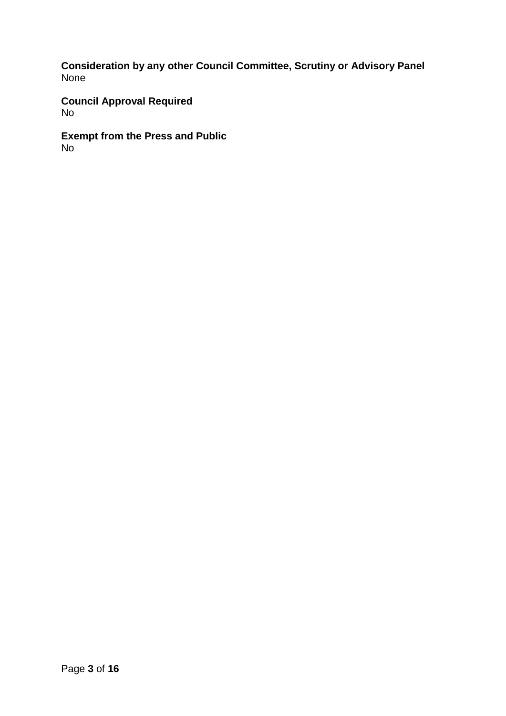**Consideration by any other Council Committee, Scrutiny or Advisory Panel** None

**Council Approval Required** No

**Exempt from the Press and Public** No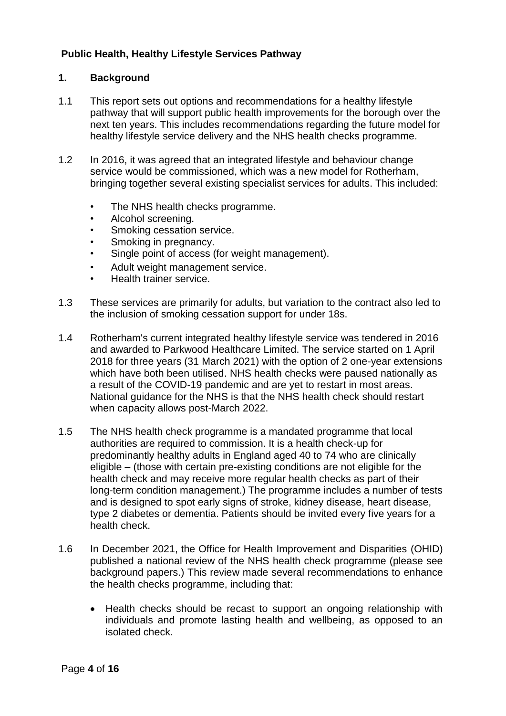# **Public Health, Healthy Lifestyle Services Pathway**

## **1. Background**

- 1.1 This report sets out options and recommendations for a healthy lifestyle pathway that will support public health improvements for the borough over the next ten years. This includes recommendations regarding the future model for healthy lifestyle service delivery and the NHS health checks programme.
- 1.2 In 2016, it was agreed that an integrated lifestyle and behaviour change service would be commissioned, which was a new model for Rotherham, bringing together several existing specialist services for adults. This included:
	- The NHS health checks programme.
	- Alcohol screening.
	- Smoking cessation service.
	- Smoking in pregnancy.
	- Single point of access (for weight management).
	- Adult weight management service.
	- Health trainer service.
- 1.3 These services are primarily for adults, but variation to the contract also led to the inclusion of smoking cessation support for under 18s.
- 1.4 Rotherham's current integrated healthy lifestyle service was tendered in 2016 and awarded to Parkwood Healthcare Limited. The service started on 1 April 2018 for three years (31 March 2021) with the option of 2 one-year extensions which have both been utilised. NHS health checks were paused nationally as a result of the COVID-19 pandemic and are yet to restart in most areas. National guidance for the NHS is that the NHS health check should restart when capacity allows post-March 2022.
- 1.5 The NHS health check programme is a mandated programme that local authorities are required to commission. It is a health check-up for predominantly healthy adults in England aged 40 to 74 who are clinically eligible – (those with certain pre-existing conditions are not eligible for the health check and may receive more regular health checks as part of their long-term condition management.) The programme includes a number of tests and is designed to spot early signs of stroke, kidney disease, heart disease, type 2 diabetes or dementia. Patients should be invited every five years for a health check.
- 1.6 In December 2021, the Office for Health Improvement and Disparities (OHID) published a national review of the NHS health check programme (please see background papers.) This review made several recommendations to enhance the health checks programme, including that:
	- Health checks should be recast to support an ongoing relationship with individuals and promote lasting health and wellbeing, as opposed to an isolated check.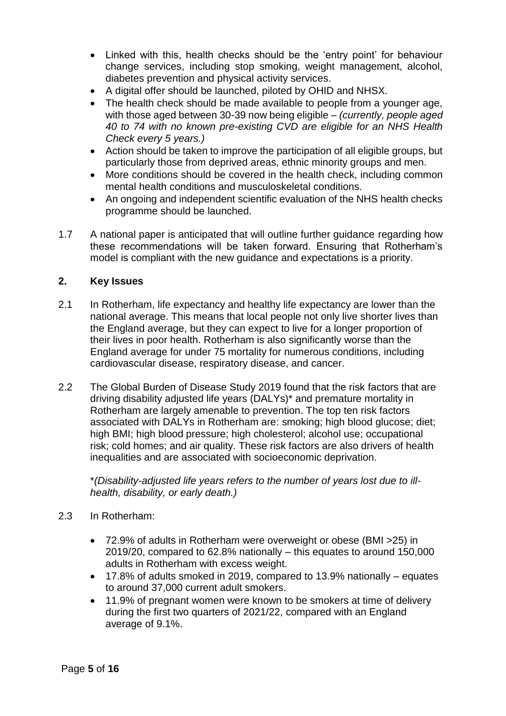- Linked with this, health checks should be the 'entry point' for behaviour change services, including stop smoking, weight management, alcohol, diabetes prevention and physical activity services.
- A digital offer should be launched, piloted by OHID and NHSX.
- The health check should be made available to people from a younger age, with those aged between 30-39 now being eligible – *(currently, people aged 40 to 74 with no known pre-existing CVD are eligible for an NHS Health Check every 5 years.)*
- Action should be taken to improve the participation of all eligible groups, but particularly those from deprived areas, ethnic minority groups and men.
- More conditions should be covered in the health check, including common mental health conditions and musculoskeletal conditions.
- An ongoing and independent scientific evaluation of the NHS health checks programme should be launched.
- 1.7 A national paper is anticipated that will outline further guidance regarding how these recommendations will be taken forward. Ensuring that Rotherham's model is compliant with the new guidance and expectations is a priority.

## **2. Key Issues**

- 2.1 In Rotherham, life expectancy and healthy life expectancy are lower than the national average. This means that local people not only live shorter lives than the England average, but they can expect to live for a longer proportion of their lives in poor health. Rotherham is also significantly worse than the England average for under 75 mortality for numerous conditions, including cardiovascular disease, respiratory disease, and cancer.
- 2.2 The Global Burden of Disease Study 2019 found that the risk factors that are driving disability adjusted life years (DALYs)\* and premature mortality in Rotherham are largely amenable to prevention. The top ten risk factors associated with DALYs in Rotherham are: smoking; high blood glucose; diet; high BMI; high blood pressure; high cholesterol; alcohol use; occupational risk; cold homes; and air quality. These risk factors are also drivers of health inequalities and are associated with socioeconomic deprivation.

\**(Disability-adjusted life years refers to the number of years lost due to illhealth, disability, or early death.)*

- 2.3 In Rotherham:
	- 72.9% of adults in Rotherham were overweight or obese (BMI >25) in 2019/20, compared to 62.8% nationally – this equates to around 150,000 adults in Rotherham with excess weight.
	- 17.8% of adults smoked in 2019, compared to 13.9% nationally equates to around 37,000 current adult smokers.
	- 11.9% of pregnant women were known to be smokers at time of delivery during the first two quarters of 2021/22, compared with an England average of 9.1%.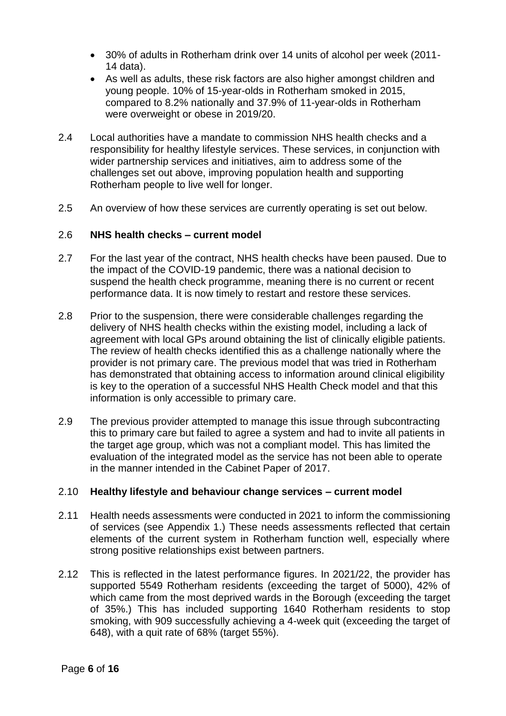- 30% of adults in Rotherham drink over 14 units of alcohol per week (2011- 14 data).
- As well as adults, these risk factors are also higher amongst children and young people. 10% of 15-year-olds in Rotherham smoked in 2015, compared to 8.2% nationally and 37.9% of 11-year-olds in Rotherham were overweight or obese in 2019/20.
- 2.4 Local authorities have a mandate to commission NHS health checks and a responsibility for healthy lifestyle services. These services, in conjunction with wider partnership services and initiatives, aim to address some of the challenges set out above, improving population health and supporting Rotherham people to live well for longer.
- 2.5 An overview of how these services are currently operating is set out below.

## 2.6 **NHS health checks – current model**

- 2.7 For the last year of the contract, NHS health checks have been paused. Due to the impact of the COVID-19 pandemic, there was a national decision to suspend the health check programme, meaning there is no current or recent performance data. It is now timely to restart and restore these services.
- 2.8 Prior to the suspension, there were considerable challenges regarding the delivery of NHS health checks within the existing model, including a lack of agreement with local GPs around obtaining the list of clinically eligible patients. The review of health checks identified this as a challenge nationally where the provider is not primary care. The previous model that was tried in Rotherham has demonstrated that obtaining access to information around clinical eligibility is key to the operation of a successful NHS Health Check model and that this information is only accessible to primary care.
- 2.9 The previous provider attempted to manage this issue through subcontracting this to primary care but failed to agree a system and had to invite all patients in the target age group, which was not a compliant model. This has limited the evaluation of the integrated model as the service has not been able to operate in the manner intended in the Cabinet Paper of 2017.

#### 2.10 **Healthy lifestyle and behaviour change services – current model**

- 2.11 Health needs assessments were conducted in 2021 to inform the commissioning of services (see Appendix 1.) These needs assessments reflected that certain elements of the current system in Rotherham function well, especially where strong positive relationships exist between partners.
- 2.12 This is reflected in the latest performance figures. In 2021/22, the provider has supported 5549 Rotherham residents (exceeding the target of 5000), 42% of which came from the most deprived wards in the Borough (exceeding the target of 35%.) This has included supporting 1640 Rotherham residents to stop smoking, with 909 successfully achieving a 4-week quit (exceeding the target of 648), with a quit rate of 68% (target 55%).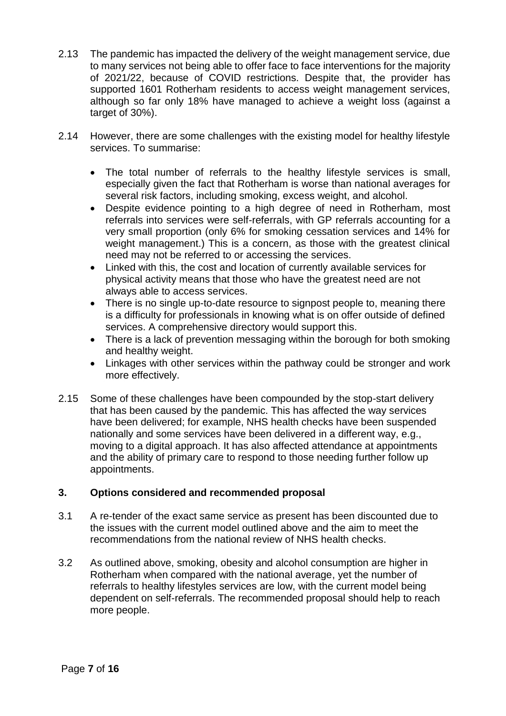- 2.13 The pandemic has impacted the delivery of the weight management service, due to many services not being able to offer face to face interventions for the majority of 2021/22, because of COVID restrictions. Despite that, the provider has supported 1601 Rotherham residents to access weight management services, although so far only 18% have managed to achieve a weight loss (against a target of 30%).
- 2.14 However, there are some challenges with the existing model for healthy lifestyle services. To summarise:
	- The total number of referrals to the healthy lifestyle services is small, especially given the fact that Rotherham is worse than national averages for several risk factors, including smoking, excess weight, and alcohol.
	- Despite evidence pointing to a high degree of need in Rotherham, most referrals into services were self-referrals, with GP referrals accounting for a very small proportion (only 6% for smoking cessation services and 14% for weight management.) This is a concern, as those with the greatest clinical need may not be referred to or accessing the services.
	- Linked with this, the cost and location of currently available services for physical activity means that those who have the greatest need are not always able to access services.
	- There is no single up-to-date resource to signpost people to, meaning there is a difficulty for professionals in knowing what is on offer outside of defined services. A comprehensive directory would support this.
	- There is a lack of prevention messaging within the borough for both smoking and healthy weight.
	- Linkages with other services within the pathway could be stronger and work more effectively.
- 2.15 Some of these challenges have been compounded by the stop-start delivery that has been caused by the pandemic. This has affected the way services have been delivered; for example, NHS health checks have been suspended nationally and some services have been delivered in a different way, e.g., moving to a digital approach. It has also affected attendance at appointments and the ability of primary care to respond to those needing further follow up appointments.

#### **3. Options considered and recommended proposal**

- 3.1 A re-tender of the exact same service as present has been discounted due to the issues with the current model outlined above and the aim to meet the recommendations from the national review of NHS health checks.
- 3.2 As outlined above, smoking, obesity and alcohol consumption are higher in Rotherham when compared with the national average, yet the number of referrals to healthy lifestyles services are low, with the current model being dependent on self-referrals. The recommended proposal should help to reach more people.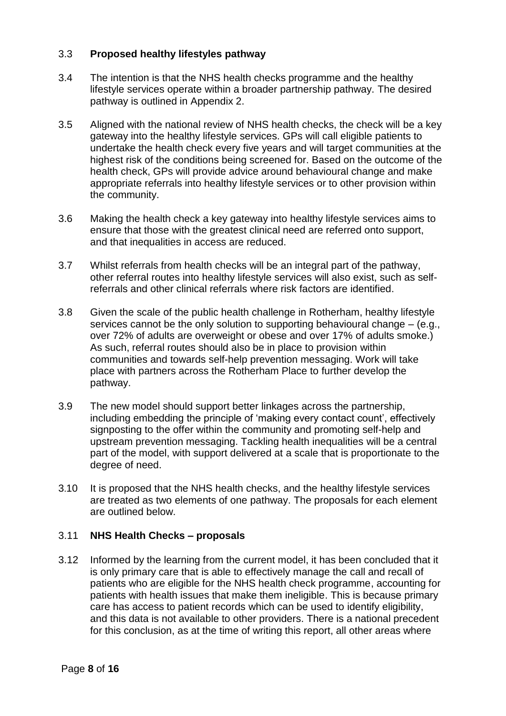## 3.3 **Proposed healthy lifestyles pathway**

- 3.4 The intention is that the NHS health checks programme and the healthy lifestyle services operate within a broader partnership pathway. The desired pathway is outlined in Appendix 2.
- 3.5 Aligned with the national review of NHS health checks, the check will be a key gateway into the healthy lifestyle services. GPs will call eligible patients to undertake the health check every five years and will target communities at the highest risk of the conditions being screened for. Based on the outcome of the health check, GPs will provide advice around behavioural change and make appropriate referrals into healthy lifestyle services or to other provision within the community.
- 3.6 Making the health check a key gateway into healthy lifestyle services aims to ensure that those with the greatest clinical need are referred onto support, and that inequalities in access are reduced.
- 3.7 Whilst referrals from health checks will be an integral part of the pathway, other referral routes into healthy lifestyle services will also exist, such as selfreferrals and other clinical referrals where risk factors are identified.
- 3.8 Given the scale of the public health challenge in Rotherham, healthy lifestyle services cannot be the only solution to supporting behavioural change – (e.g., over 72% of adults are overweight or obese and over 17% of adults smoke.) As such, referral routes should also be in place to provision within communities and towards self-help prevention messaging. Work will take place with partners across the Rotherham Place to further develop the pathway.
- 3.9 The new model should support better linkages across the partnership, including embedding the principle of 'making every contact count', effectively signposting to the offer within the community and promoting self-help and upstream prevention messaging. Tackling health inequalities will be a central part of the model, with support delivered at a scale that is proportionate to the degree of need.
- 3.10 It is proposed that the NHS health checks, and the healthy lifestyle services are treated as two elements of one pathway. The proposals for each element are outlined below.

#### 3.11 **NHS Health Checks – proposals**

3.12 Informed by the learning from the current model, it has been concluded that it is only primary care that is able to effectively manage the call and recall of patients who are eligible for the NHS health check programme, accounting for patients with health issues that make them ineligible. This is because primary care has access to patient records which can be used to identify eligibility, and this data is not available to other providers. There is a national precedent for this conclusion, as at the time of writing this report, all other areas where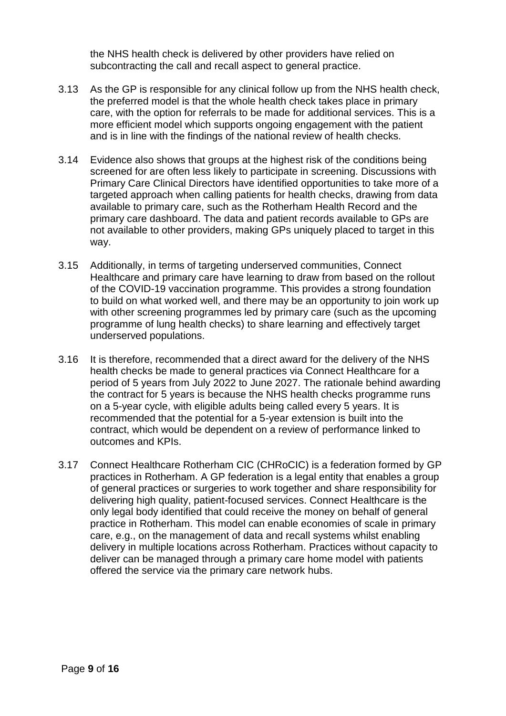the NHS health check is delivered by other providers have relied on subcontracting the call and recall aspect to general practice.

- 3.13 As the GP is responsible for any clinical follow up from the NHS health check, the preferred model is that the whole health check takes place in primary care, with the option for referrals to be made for additional services. This is a more efficient model which supports ongoing engagement with the patient and is in line with the findings of the national review of health checks.
- 3.14 Evidence also shows that groups at the highest risk of the conditions being screened for are often less likely to participate in screening. Discussions with Primary Care Clinical Directors have identified opportunities to take more of a targeted approach when calling patients for health checks, drawing from data available to primary care, such as the Rotherham Health Record and the primary care dashboard. The data and patient records available to GPs are not available to other providers, making GPs uniquely placed to target in this way.
- 3.15 Additionally, in terms of targeting underserved communities, Connect Healthcare and primary care have learning to draw from based on the rollout of the COVID-19 vaccination programme. This provides a strong foundation to build on what worked well, and there may be an opportunity to join work up with other screening programmes led by primary care (such as the upcoming programme of lung health checks) to share learning and effectively target underserved populations.
- 3.16 It is therefore, recommended that a direct award for the delivery of the NHS health checks be made to general practices via Connect Healthcare for a period of 5 years from July 2022 to June 2027. The rationale behind awarding the contract for 5 years is because the NHS health checks programme runs on a 5-year cycle, with eligible adults being called every 5 years. It is recommended that the potential for a 5-year extension is built into the contract, which would be dependent on a review of performance linked to outcomes and KPIs.
- 3.17 Connect Healthcare Rotherham CIC (CHRoCIC) is a federation formed by GP practices in Rotherham. A GP federation is a legal entity that enables a group of general practices or surgeries to work together and share responsibility for delivering high quality, patient-focused services. Connect Healthcare is the only legal body identified that could receive the money on behalf of general practice in Rotherham. This model can enable economies of scale in primary care, e.g., on the management of data and recall systems whilst enabling delivery in multiple locations across Rotherham. Practices without capacity to deliver can be managed through a primary care home model with patients offered the service via the primary care network hubs.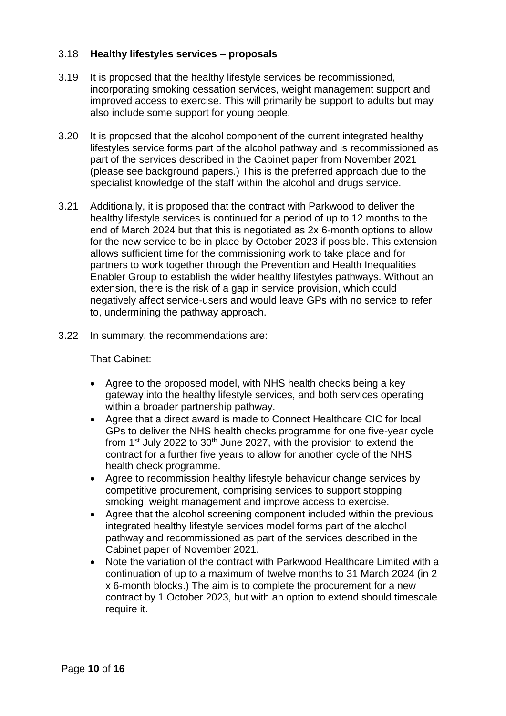## 3.18 **Healthy lifestyles services – proposals**

- 3.19 It is proposed that the healthy lifestyle services be recommissioned, incorporating smoking cessation services, weight management support and improved access to exercise. This will primarily be support to adults but may also include some support for young people.
- 3.20 It is proposed that the alcohol component of the current integrated healthy lifestyles service forms part of the alcohol pathway and is recommissioned as part of the services described in the Cabinet paper from November 2021 (please see background papers.) This is the preferred approach due to the specialist knowledge of the staff within the alcohol and drugs service.
- 3.21 Additionally, it is proposed that the contract with Parkwood to deliver the healthy lifestyle services is continued for a period of up to 12 months to the end of March 2024 but that this is negotiated as 2x 6-month options to allow for the new service to be in place by October 2023 if possible. This extension allows sufficient time for the commissioning work to take place and for partners to work together through the Prevention and Health Inequalities Enabler Group to establish the wider healthy lifestyles pathways. Without an extension, there is the risk of a gap in service provision, which could negatively affect service-users and would leave GPs with no service to refer to, undermining the pathway approach.
- 3.22 In summary, the recommendations are:

That Cabinet:

- Agree to the proposed model, with NHS health checks being a key gateway into the healthy lifestyle services, and both services operating within a broader partnership pathway.
- Agree that a direct award is made to Connect Healthcare CIC for local GPs to deliver the NHS health checks programme for one five-year cycle from 1st July 2022 to 30th June 2027, with the provision to extend the contract for a further five years to allow for another cycle of the NHS health check programme.
- Agree to recommission healthy lifestyle behaviour change services by competitive procurement, comprising services to support stopping smoking, weight management and improve access to exercise.
- Agree that the alcohol screening component included within the previous integrated healthy lifestyle services model forms part of the alcohol pathway and recommissioned as part of the services described in the Cabinet paper of November 2021.
- Note the variation of the contract with Parkwood Healthcare Limited with a continuation of up to a maximum of twelve months to 31 March 2024 (in 2 x 6-month blocks.) The aim is to complete the procurement for a new contract by 1 October 2023, but with an option to extend should timescale require it.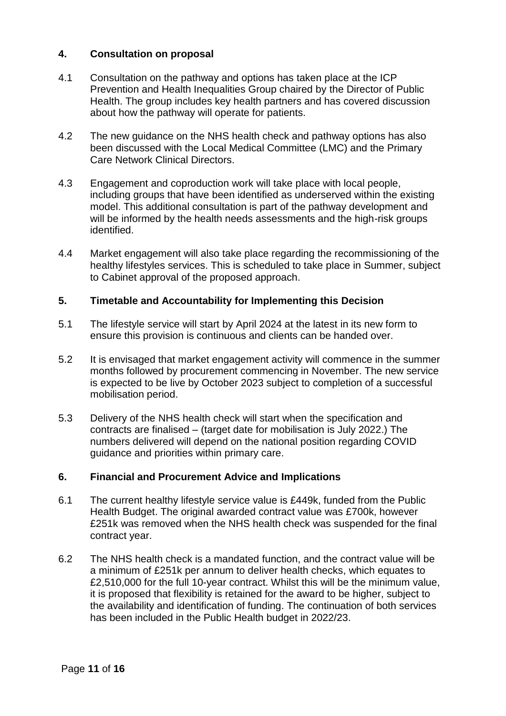## **4. Consultation on proposal**

- 4.1 Consultation on the pathway and options has taken place at the ICP Prevention and Health Inequalities Group chaired by the Director of Public Health. The group includes key health partners and has covered discussion about how the pathway will operate for patients.
- 4.2 The new guidance on the NHS health check and pathway options has also been discussed with the Local Medical Committee (LMC) and the Primary Care Network Clinical Directors.
- 4.3 Engagement and coproduction work will take place with local people, including groups that have been identified as underserved within the existing model. This additional consultation is part of the pathway development and will be informed by the health needs assessments and the high-risk groups identified.
- 4.4 Market engagement will also take place regarding the recommissioning of the healthy lifestyles services. This is scheduled to take place in Summer, subject to Cabinet approval of the proposed approach.

#### **5. Timetable and Accountability for Implementing this Decision**

- 5.1 The lifestyle service will start by April 2024 at the latest in its new form to ensure this provision is continuous and clients can be handed over.
- 5.2 It is envisaged that market engagement activity will commence in the summer months followed by procurement commencing in November. The new service is expected to be live by October 2023 subject to completion of a successful mobilisation period.
- 5.3 Delivery of the NHS health check will start when the specification and contracts are finalised – (target date for mobilisation is July 2022.) The numbers delivered will depend on the national position regarding COVID guidance and priorities within primary care.

#### **6. Financial and Procurement Advice and Implications**

- 6.1 The current healthy lifestyle service value is £449k, funded from the Public Health Budget. The original awarded contract value was £700k, however £251k was removed when the NHS health check was suspended for the final contract year.
- 6.2 The NHS health check is a mandated function, and the contract value will be a minimum of £251k per annum to deliver health checks, which equates to £2,510,000 for the full 10-year contract. Whilst this will be the minimum value, it is proposed that flexibility is retained for the award to be higher, subject to the availability and identification of funding. The continuation of both services has been included in the Public Health budget in 2022/23.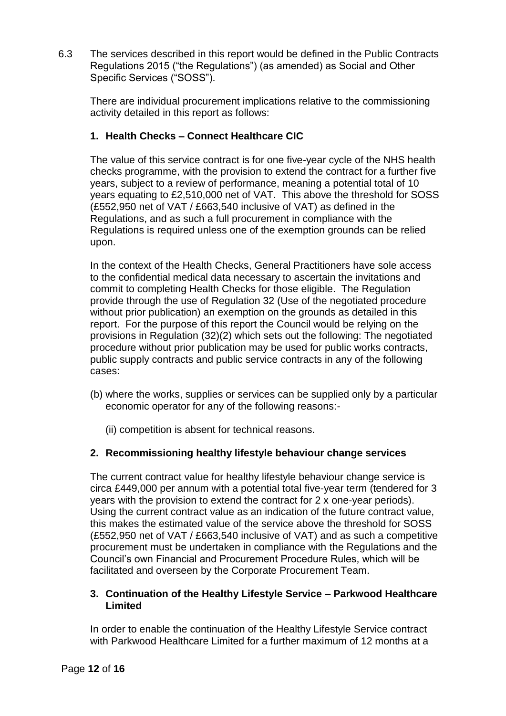6.3 The services described in this report would be defined in the Public Contracts Regulations 2015 ("the Regulations") (as amended) as Social and Other Specific Services ("SOSS").

There are individual procurement implications relative to the commissioning activity detailed in this report as follows:

# **1. Health Checks – Connect Healthcare CIC**

The value of this service contract is for one five-year cycle of the NHS health checks programme, with the provision to extend the contract for a further five years, subject to a review of performance, meaning a potential total of 10 years equating to £2,510,000 net of VAT. This above the threshold for SOSS (£552,950 net of VAT / £663,540 inclusive of VAT) as defined in the Regulations, and as such a full procurement in compliance with the Regulations is required unless one of the exemption grounds can be relied upon.

In the context of the Health Checks, General Practitioners have sole access to the confidential medical data necessary to ascertain the invitations and commit to completing Health Checks for those eligible. The Regulation provide through the use of Regulation 32 (Use of the negotiated procedure without prior publication) an exemption on the grounds as detailed in this report. For the purpose of this report the Council would be relying on the provisions in Regulation (32)(2) which sets out the following: The negotiated procedure without prior publication may be used for public works contracts, public supply contracts and public service contracts in any of the following cases:

- (b) where the works, supplies or services can be supplied only by a particular economic operator for any of the following reasons:-
	- (ii) competition is absent for technical reasons.

# **2. Recommissioning healthy lifestyle behaviour change services**

The current contract value for healthy lifestyle behaviour change service is circa £449,000 per annum with a potential total five-year term (tendered for 3 years with the provision to extend the contract for 2 x one-year periods). Using the current contract value as an indication of the future contract value, this makes the estimated value of the service above the threshold for SOSS (£552,950 net of VAT / £663,540 inclusive of VAT) and as such a competitive procurement must be undertaken in compliance with the Regulations and the Council's own Financial and Procurement Procedure Rules, which will be facilitated and overseen by the Corporate Procurement Team.

## **3. Continuation of the Healthy Lifestyle Service – Parkwood Healthcare Limited**

In order to enable the continuation of the Healthy Lifestyle Service contract with Parkwood Healthcare Limited for a further maximum of 12 months at a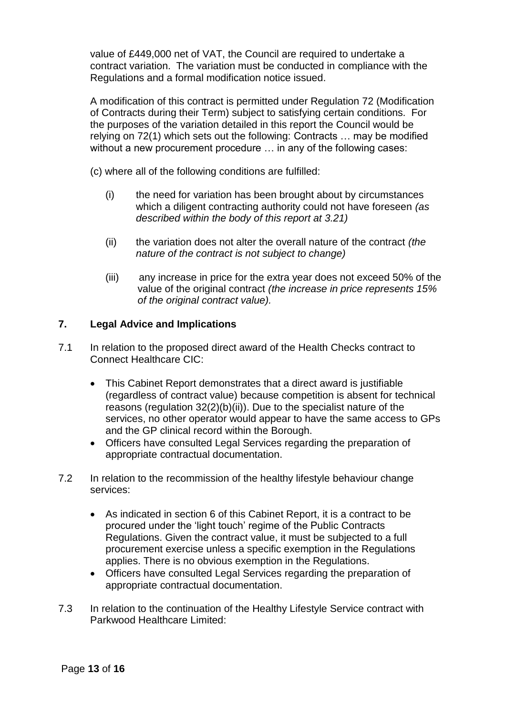value of £449,000 net of VAT, the Council are required to undertake a contract variation. The variation must be conducted in compliance with the Regulations and a formal modification notice issued.

A modification of this contract is permitted under Regulation 72 (Modification of Contracts during their Term) subject to satisfying certain conditions. For the purposes of the variation detailed in this report the Council would be relying on 72(1) which sets out the following: Contracts … may be modified without a new procurement procedure ... in any of the following cases:

(c) where all of the following conditions are fulfilled:

- (i) the need for variation has been brought about by circumstances which a diligent contracting authority could not have foreseen *(as described within the body of this report at 3.21)*
- (ii) the variation does not alter the overall nature of the contract *(the nature of the contract is not subject to change)*
- (iii) any increase in price for the extra year does not exceed 50% of the value of the original contract *(the increase in price represents 15% of the original contract value).*

#### **7. Legal Advice and Implications**

- 7.1 In relation to the proposed direct award of the Health Checks contract to Connect Healthcare CIC:
	- This Cabinet Report demonstrates that a direct award is justifiable (regardless of contract value) because competition is absent for technical reasons (regulation 32(2)(b)(ii)). Due to the specialist nature of the services, no other operator would appear to have the same access to GPs and the GP clinical record within the Borough.
	- Officers have consulted Legal Services regarding the preparation of appropriate contractual documentation.
- 7.2 In relation to the recommission of the healthy lifestyle behaviour change services:
	- As indicated in section 6 of this Cabinet Report, it is a contract to be procured under the 'light touch' regime of the Public Contracts Regulations. Given the contract value, it must be subjected to a full procurement exercise unless a specific exemption in the Regulations applies. There is no obvious exemption in the Regulations.
	- Officers have consulted Legal Services regarding the preparation of appropriate contractual documentation.
- 7.3 In relation to the continuation of the Healthy Lifestyle Service contract with Parkwood Healthcare Limited: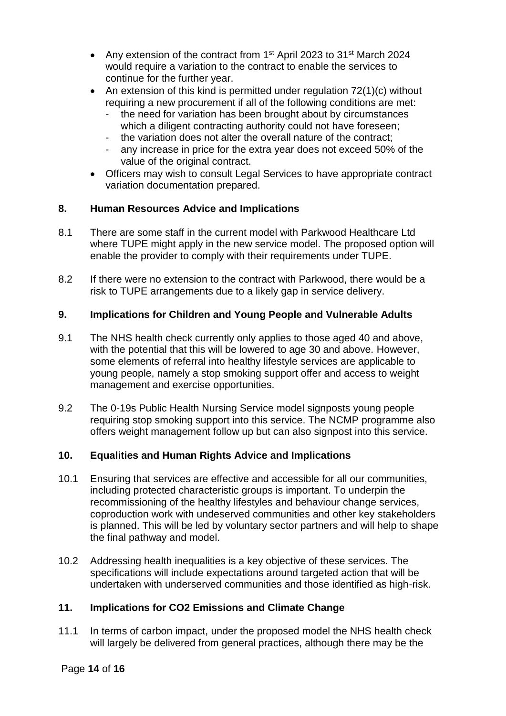- Any extension of the contract from 1<sup>st</sup> April 2023 to 31<sup>st</sup> March 2024 would require a variation to the contract to enable the services to continue for the further year.
- An extension of this kind is permitted under regulation 72(1)(c) without requiring a new procurement if all of the following conditions are met:
	- the need for variation has been brought about by circumstances which a diligent contracting authority could not have foreseen;
	- the variation does not alter the overall nature of the contract;
	- any increase in price for the extra year does not exceed 50% of the value of the original contract.
- Officers may wish to consult Legal Services to have appropriate contract variation documentation prepared.

## **8. Human Resources Advice and Implications**

- 8.1 There are some staff in the current model with Parkwood Healthcare Ltd where TUPE might apply in the new service model. The proposed option will enable the provider to comply with their requirements under TUPE.
- 8.2 If there were no extension to the contract with Parkwood, there would be a risk to TUPE arrangements due to a likely gap in service delivery.

## **9. Implications for Children and Young People and Vulnerable Adults**

- 9.1 The NHS health check currently only applies to those aged 40 and above, with the potential that this will be lowered to age 30 and above. However, some elements of referral into healthy lifestyle services are applicable to young people, namely a stop smoking support offer and access to weight management and exercise opportunities.
- 9.2 The 0-19s Public Health Nursing Service model signposts young people requiring stop smoking support into this service. The NCMP programme also offers weight management follow up but can also signpost into this service.

# **10. Equalities and Human Rights Advice and Implications**

- 10.1 Ensuring that services are effective and accessible for all our communities, including protected characteristic groups is important. To underpin the recommissioning of the healthy lifestyles and behaviour change services, coproduction work with undeserved communities and other key stakeholders is planned. This will be led by voluntary sector partners and will help to shape the final pathway and model.
- 10.2 Addressing health inequalities is a key objective of these services. The specifications will include expectations around targeted action that will be undertaken with underserved communities and those identified as high-risk.

# **11. Implications for CO2 Emissions and Climate Change**

11.1 In terms of carbon impact, under the proposed model the NHS health check will largely be delivered from general practices, although there may be the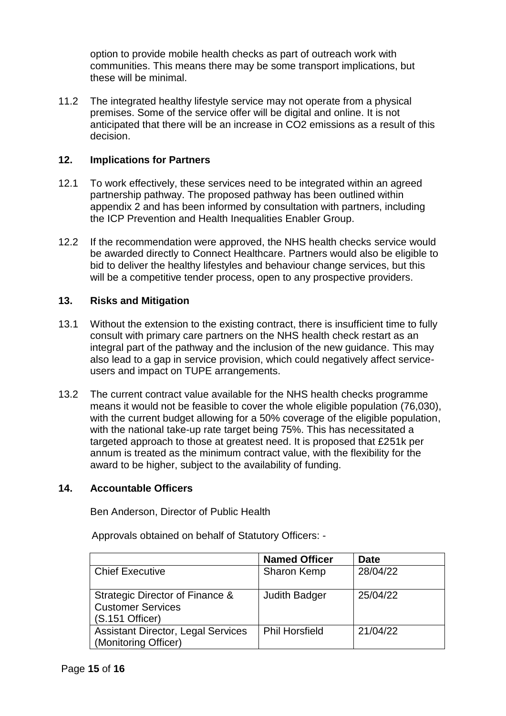option to provide mobile health checks as part of outreach work with communities. This means there may be some transport implications, but these will be minimal.

11.2 The integrated healthy lifestyle service may not operate from a physical premises. Some of the service offer will be digital and online. It is not anticipated that there will be an increase in CO2 emissions as a result of this decision.

#### **12. Implications for Partners**

- 12.1 To work effectively, these services need to be integrated within an agreed partnership pathway. The proposed pathway has been outlined within appendix 2 and has been informed by consultation with partners, including the ICP Prevention and Health Inequalities Enabler Group.
- 12.2 If the recommendation were approved, the NHS health checks service would be awarded directly to Connect Healthcare. Partners would also be eligible to bid to deliver the healthy lifestyles and behaviour change services, but this will be a competitive tender process, open to any prospective providers.

#### **13. Risks and Mitigation**

- 13.1 Without the extension to the existing contract, there is insufficient time to fully consult with primary care partners on the NHS health check restart as an integral part of the pathway and the inclusion of the new guidance. This may also lead to a gap in service provision, which could negatively affect serviceusers and impact on TUPE arrangements.
- 13.2 The current contract value available for the NHS health checks programme means it would not be feasible to cover the whole eligible population (76,030), with the current budget allowing for a 50% coverage of the eligible population, with the national take-up rate target being 75%. This has necessitated a targeted approach to those at greatest need. It is proposed that £251k per annum is treated as the minimum contract value, with the flexibility for the award to be higher, subject to the availability of funding.

# **14. Accountable Officers**

Ben Anderson, Director of Public Health

Approvals obtained on behalf of Statutory Officers: -

|                                                                                | <b>Named Officer</b>  | <b>Date</b> |
|--------------------------------------------------------------------------------|-----------------------|-------------|
| <b>Chief Executive</b>                                                         | <b>Sharon Kemp</b>    | 28/04/22    |
| Strategic Director of Finance &<br><b>Customer Services</b><br>(S.151 Officer) | <b>Judith Badger</b>  | 25/04/22    |
| <b>Assistant Director, Legal Services</b><br>(Monitoring Officer)              | <b>Phil Horsfield</b> | 21/04/22    |